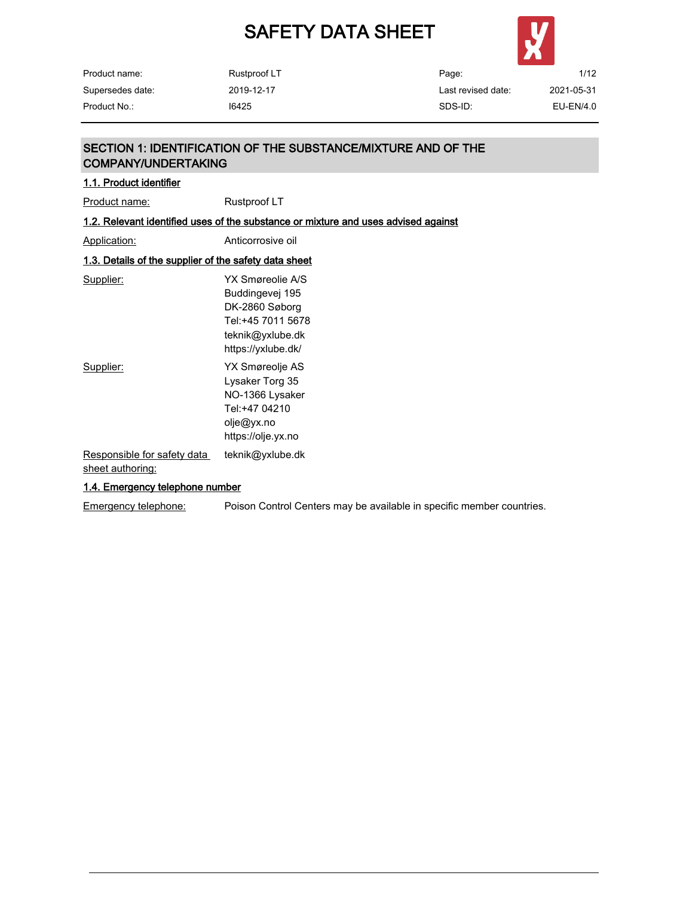

Product name: Supersedes date: Rustproof LT 2019-12-17

Page: Last revised date: SDS-ID: 1/12 2021-05-31 Product No.: I6425 EU-EN/4.0

## SECTION 1: IDENTIFICATION OF THE SUBSTANCE/MIXTURE AND OF THE COMPANY/UNDERTAKING

| 1.1. Product identifier                                      |                                                                                                                      |
|--------------------------------------------------------------|----------------------------------------------------------------------------------------------------------------------|
| <b>Product name:</b>                                         | Rustproof LT                                                                                                         |
|                                                              | 1.2. Relevant identified uses of the substance or mixture and uses advised against                                   |
| Application:                                                 | Anticorrosive oil                                                                                                    |
| <u>1.3. Details of the supplier of the safety data sheet</u> |                                                                                                                      |
| Supplier:                                                    | YX Smøreolie A/S<br>Buddingevej 195<br>DK-2860 Søborg<br>Tel:+45 7011 5678<br>teknik@yxlube.dk<br>https://yxlube.dk/ |
| Supplier:                                                    | YX Smøreolje AS<br>Lysaker Torg 35<br>NO-1366 Lysaker<br>Tel:+47 04210<br>olje@yx.no<br>https://olje.yx.no           |
| Responsible for safety data<br>sheet authoring:              | teknik@yxlube.dk                                                                                                     |
| 1.4. Emergency telephone number                              |                                                                                                                      |

Emergency telephone: Poison Control Centers may be available in specific member countries.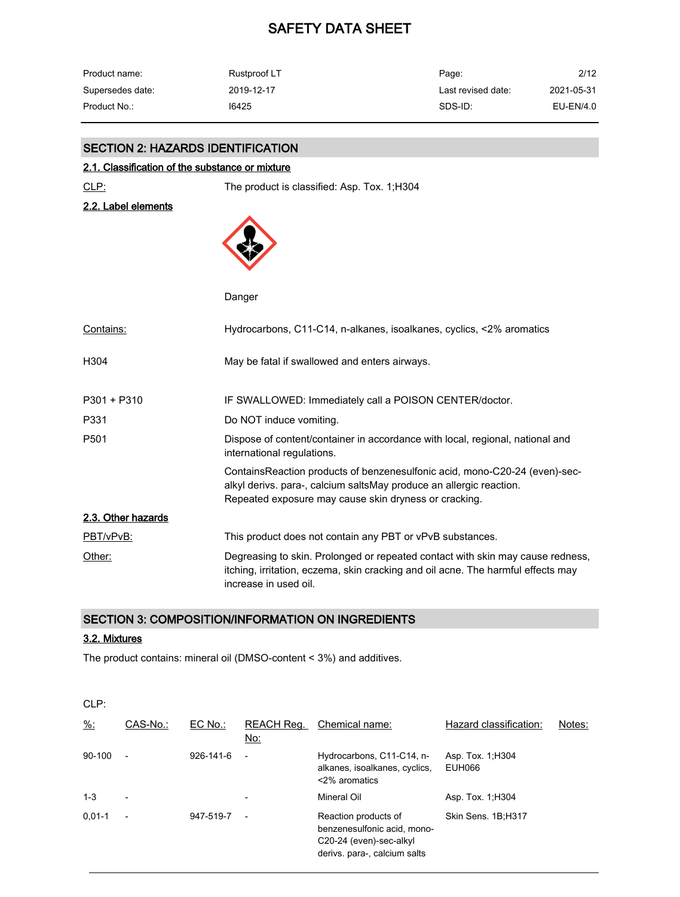| Product name:    | Rustproof LT | Page:              | 2/12       |
|------------------|--------------|--------------------|------------|
| Supersedes date: | 2019-12-17   | Last revised date: | 2021-05-31 |
| Product No.:     | 16425        | SDS-ID:            | EU-EN/4.0  |

## SECTION 2: HAZARDS IDENTIFICATION

#### 2.1. Classification of the substance or mixture

CLP: The product is classified: Asp. Tox. 1;H304

## 2.2. Label elements



Danger

| Contains:          | Hydrocarbons, C11-C14, n-alkanes, isoalkanes, cyclics, <2% aromatics                                                                                                                                       |
|--------------------|------------------------------------------------------------------------------------------------------------------------------------------------------------------------------------------------------------|
| H <sub>304</sub>   | May be fatal if swallowed and enters airways.                                                                                                                                                              |
| $P301 + P310$      | IF SWALLOWED: Immediately call a POISON CENTER/doctor.                                                                                                                                                     |
| P331               | Do NOT induce vomiting.                                                                                                                                                                                    |
| P <sub>501</sub>   | Dispose of content/container in accordance with local, regional, national and<br>international regulations.                                                                                                |
|                    | ContainsReaction products of benzenesulfonic acid, mono-C20-24 (even)-sec-<br>alkyl derivs. para-, calcium saltsMay produce an allergic reaction.<br>Repeated exposure may cause skin dryness or cracking. |
| 2.3. Other hazards |                                                                                                                                                                                                            |
| PBT/vPvB:          | This product does not contain any PBT or vPvB substances.                                                                                                                                                  |
| Other:             | Degreasing to skin. Prolonged or repeated contact with skin may cause redness,<br>itching, irritation, eczema, skin cracking and oil acne. The harmful effects may<br>increase in used oil.                |

### SECTION 3: COMPOSITION/INFORMATION ON INGREDIENTS

#### 3.2. Mixtures

The product contains: mineral oil (DMSO-content < 3%) and additives.

CLP: %: CAS-No.: EC No.: REACH Reg. Chemical name: No: Hazard classification: Notes: 90-100 - 926-141-6 - Hydrocarbons, C11-C14, nalkanes, isoalkanes, cyclics, EUH066 <2% aromatics Asp. Tox. 1;H304 1-3 - - Mineral Oil Asp. Tox. 1;H304 0,01-1 - 947-519-7 - Reaction products of benzenesulfonic acid, mono-C20-24 (even)-sec-alkyl derivs. para-, calcium salts Skin Sens. 1B;H317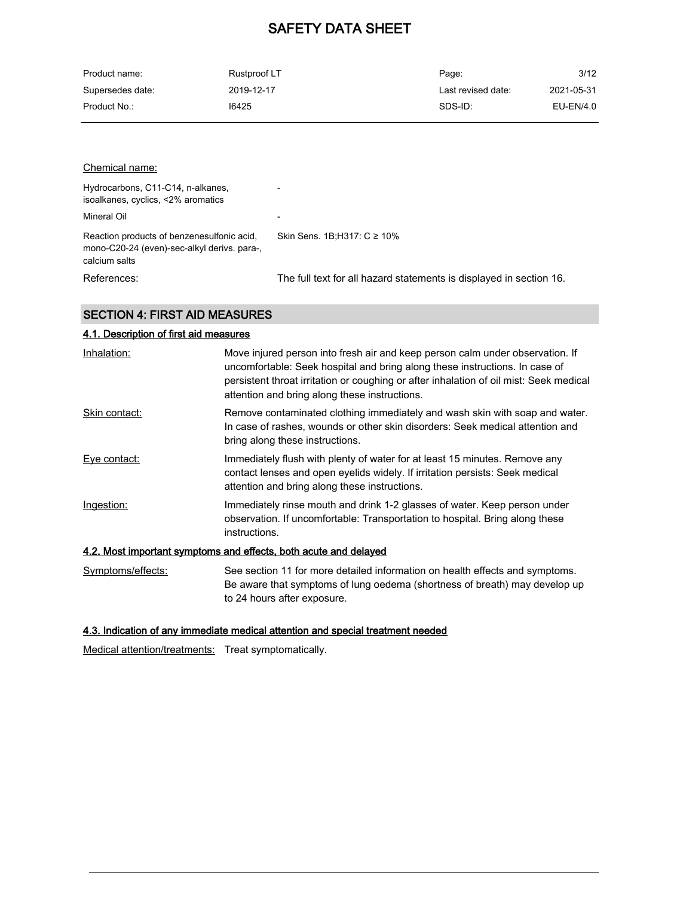| Product name:    | Rustproof LT | Page:              | 3/12       |
|------------------|--------------|--------------------|------------|
| Supersedes date: | 2019-12-17   | Last revised date: | 2021-05-31 |
| Product No.:     | 16425        | SDS-ID:            | EU-EN/4.0  |

| Chemical name:                                                                                             |                                                                     |
|------------------------------------------------------------------------------------------------------------|---------------------------------------------------------------------|
| Hydrocarbons, C11-C14, n-alkanes,<br>isoalkanes, cyclics, <2% aromatics                                    |                                                                     |
| Mineral Oil                                                                                                | $\overline{\phantom{0}}$                                            |
| Reaction products of benzenesulfonic acid.<br>mono-C20-24 (even)-sec-alkyl derivs. para-,<br>calcium salts | Skin Sens. 1B:H317: $C \ge 10\%$                                    |
| References:                                                                                                | The full text for all hazard statements is displayed in section 16. |

## SECTION 4: FIRST AID MEASURES

| 4.1. Description of first aid measures |                                                                                                                                                                                                                                                                                                         |
|----------------------------------------|---------------------------------------------------------------------------------------------------------------------------------------------------------------------------------------------------------------------------------------------------------------------------------------------------------|
| Inhalation:                            | Move injured person into fresh air and keep person calm under observation. If<br>uncomfortable: Seek hospital and bring along these instructions. In case of<br>persistent throat irritation or coughing or after inhalation of oil mist: Seek medical<br>attention and bring along these instructions. |
| Skin contact:                          | Remove contaminated clothing immediately and wash skin with soap and water.<br>In case of rashes, wounds or other skin disorders: Seek medical attention and<br>bring along these instructions.                                                                                                         |
| <u>Eye contact:</u>                    | Immediately flush with plenty of water for at least 15 minutes. Remove any<br>contact lenses and open eyelids widely. If irritation persists: Seek medical<br>attention and bring along these instructions.                                                                                             |
| Ingestion:                             | Immediately rinse mouth and drink 1-2 glasses of water. Keep person under<br>observation. If uncomfortable: Transportation to hospital. Bring along these<br>instructions.                                                                                                                              |
|                                        | 4.2. Most important symptoms and effects, both acute and delayed                                                                                                                                                                                                                                        |
| Symptoms/effects:                      | See section 11 for more detailed information on health effects and symptoms.<br>Be aware that symptoms of lung oedema (shortness of breath) may develop up<br>to 24 hours after exposure.                                                                                                               |

## 4.3. Indication of any immediate medical attention and special treatment needed

Medical attention/treatments: Treat symptomatically.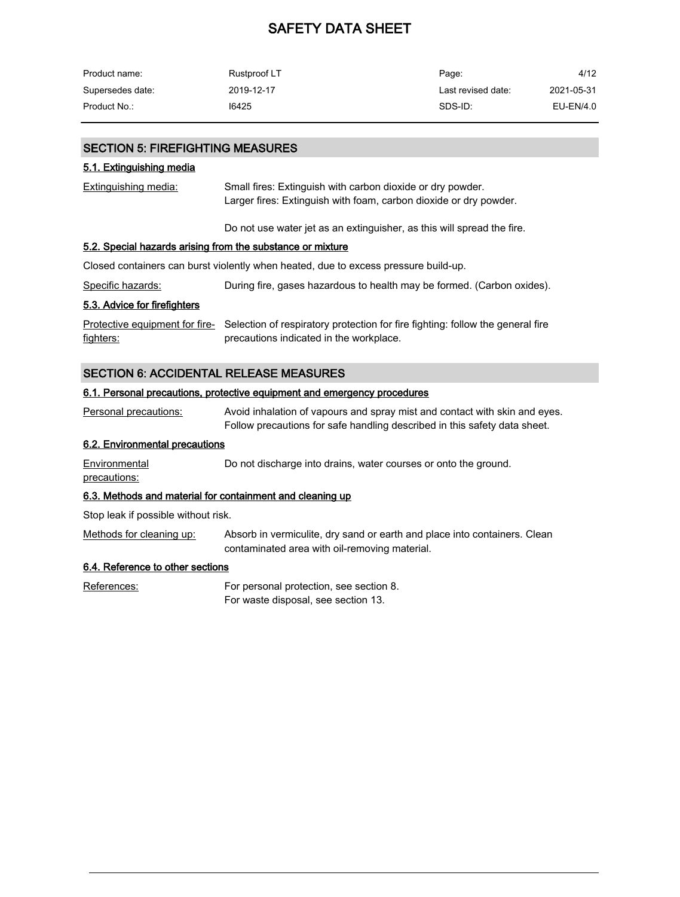| Product name:    | Rustproof LT | Page:              | 4/12       |
|------------------|--------------|--------------------|------------|
| Supersedes date: | 2019-12-17   | Last revised date: | 2021-05-31 |
| Product No.:     | 16425        | SDS-ID:            | EU-EN/4.0  |

### SECTION 5: FIREFIGHTING MEASURES

#### 5.1. Extinguishing media

| Extinguishing media:                                       | Small fires: Extinguish with carbon dioxide or dry powder.<br>Larger fires: Extinguish with foam, carbon dioxide or dry powder. |
|------------------------------------------------------------|---------------------------------------------------------------------------------------------------------------------------------|
|                                                            | Do not use water jet as an extinguisher, as this will spread the fire.                                                          |
| 5.2. Special hazards arising from the substance or mixture |                                                                                                                                 |
|                                                            | Closed containers can burst violently when heated, due to excess pressure build-up.                                             |
| Specific hazards:                                          | During fire, gases hazardous to health may be formed. (Carbon oxides).                                                          |
| 5.3. Advice for firefighters                               |                                                                                                                                 |
| Protective equipment for fire-<br>fighters:                | Selection of respiratory protection for fire fighting: follow the general fire<br>precautions indicated in the workplace.       |
| <b>SECTION 6: ACCIDENTAL RELEASE MEASURES</b>              |                                                                                                                                 |
|                                                            | 6.1. Personal precautions, protective equipment and emergency procedures                                                        |

Personal precautions: Avoid inhalation of vapours and spray mist and contact with skin and eyes. Follow precautions for safe handling described in this safety data sheet.

#### 6.2. Environmental precautions

**Environmental** precautions: Do not discharge into drains, water courses or onto the ground.

#### 6.3. Methods and material for containment and cleaning up

Stop leak if possible without risk.

Methods for cleaning up: Absorb in vermiculite, dry sand or earth and place into containers. Clean contaminated area with oil-removing material.

## 6.4. Reference to other sections

References: For personal protection, see section 8. For waste disposal, see section 13.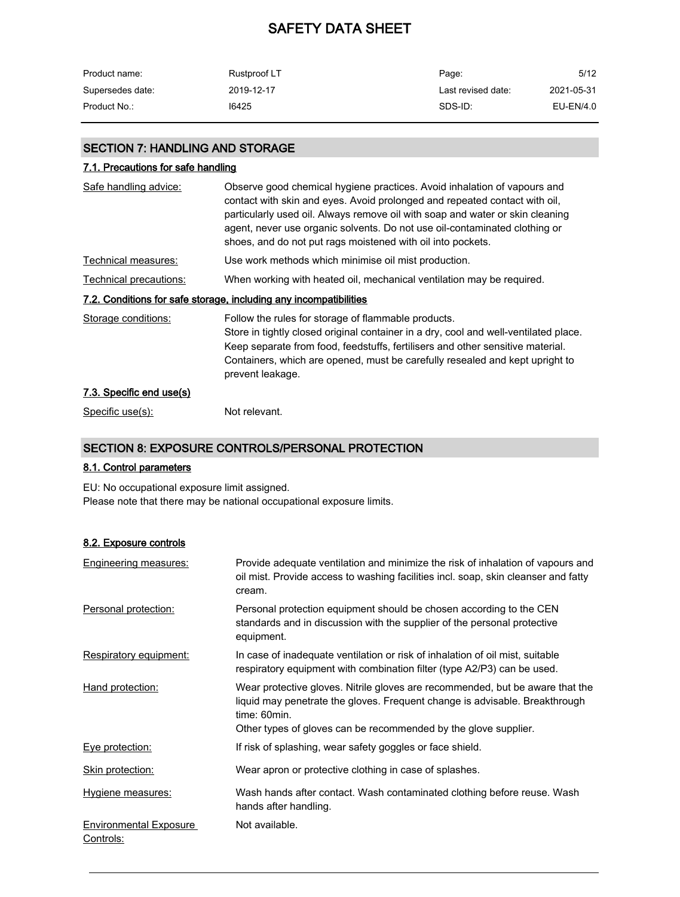| Product name:    | Rustproof LT | Page:              | 5/12       |
|------------------|--------------|--------------------|------------|
| Supersedes date: | 2019-12-17   | Last revised date: | 2021-05-31 |
| Product No.:     | 16425        | SDS-ID:            | EU-EN/4.0  |

## SECTION 7: HANDLING AND STORAGE

### 7.1. Precautions for safe handling

| Safe handling advice:    | Observe good chemical hygiene practices. Avoid inhalation of vapours and<br>contact with skin and eyes. Avoid prolonged and repeated contact with oil,<br>particularly used oil. Always remove oil with soap and water or skin cleaning<br>agent, never use organic solvents. Do not use oil-contaminated clothing or<br>shoes, and do not put rags moistened with oil into pockets. |
|--------------------------|--------------------------------------------------------------------------------------------------------------------------------------------------------------------------------------------------------------------------------------------------------------------------------------------------------------------------------------------------------------------------------------|
| Technical measures:      | Use work methods which minimise oil mist production.                                                                                                                                                                                                                                                                                                                                 |
| Technical precautions:   | When working with heated oil, mechanical ventilation may be required.                                                                                                                                                                                                                                                                                                                |
|                          | 7.2. Conditions for safe storage, including any incompatibilities                                                                                                                                                                                                                                                                                                                    |
| Storage conditions:      | Follow the rules for storage of flammable products.<br>Store in tightly closed original container in a dry, cool and well-ventilated place.<br>Keep separate from food, feedstuffs, fertilisers and other sensitive material.<br>Containers, which are opened, must be carefully resealed and kept upright to<br>prevent leakage.                                                    |
| 7.3. Specific end use(s) |                                                                                                                                                                                                                                                                                                                                                                                      |
| Specific use(s):         | Not relevant.                                                                                                                                                                                                                                                                                                                                                                        |

## SECTION 8: EXPOSURE CONTROLS/PERSONAL PROTECTION

### 8.1. Control parameters

EU: No occupational exposure limit assigned. Please note that there may be national occupational exposure limits.

#### 8.2. Exposure controls

| Engineering measures:                      | Provide adequate ventilation and minimize the risk of inhalation of vapours and<br>oil mist. Provide access to washing facilities incl. soap, skin cleanser and fatty<br>cream.                                                                 |
|--------------------------------------------|-------------------------------------------------------------------------------------------------------------------------------------------------------------------------------------------------------------------------------------------------|
| Personal protection:                       | Personal protection equipment should be chosen according to the CEN<br>standards and in discussion with the supplier of the personal protective<br>equipment.                                                                                   |
| Respiratory equipment:                     | In case of inadequate ventilation or risk of inhalation of oil mist, suitable<br>respiratory equipment with combination filter (type A2/P3) can be used.                                                                                        |
| Hand protection:                           | Wear protective gloves. Nitrile gloves are recommended, but be aware that the<br>liquid may penetrate the gloves. Frequent change is advisable. Breakthrough<br>time: 60min.<br>Other types of gloves can be recommended by the glove supplier. |
| Eye protection:                            | If risk of splashing, wear safety goggles or face shield.                                                                                                                                                                                       |
| Skin protection:                           | Wear apron or protective clothing in case of splashes.                                                                                                                                                                                          |
| Hygiene measures:                          | Wash hands after contact. Wash contaminated clothing before reuse. Wash<br>hands after handling.                                                                                                                                                |
| <b>Environmental Exposure</b><br>Controls: | Not available.                                                                                                                                                                                                                                  |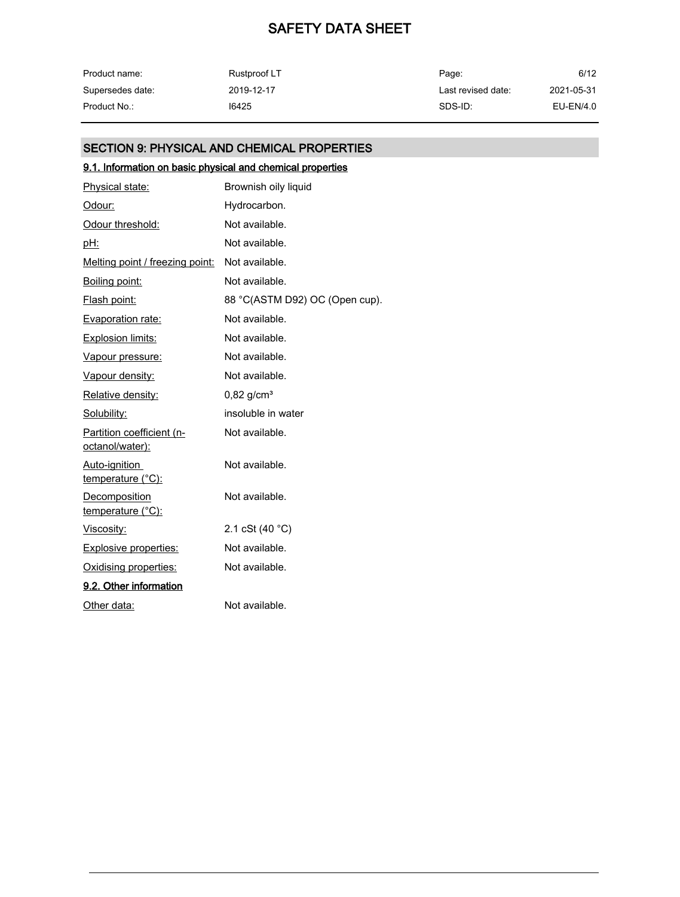| Product name:    | Rustproof LT | Page:              | 6/12       |
|------------------|--------------|--------------------|------------|
| Supersedes date: | 2019-12-17   | Last revised date: | 2021-05-31 |
| Product No.:     | 16425        | SDS-ID:            | EU-EN/4.0  |

## SECTION 9: PHYSICAL AND CHEMICAL PROPERTIES

## 9.1. Information on basic physical and chemical properties

| Physical state:                              | Brownish oily liquid           |
|----------------------------------------------|--------------------------------|
| Odour:                                       | Hydrocarbon.                   |
| Odour threshold:                             | Not available.                 |
| pH:                                          | Not available.                 |
| Melting point / freezing point:              | Not available.                 |
| Boiling point:                               | Not available.                 |
| Flash point:                                 | 88 °C(ASTM D92) OC (Open cup). |
| <b>Evaporation rate:</b>                     | Not available.                 |
| <b>Explosion limits:</b>                     | Not available.                 |
| Vapour pressure:                             | Not available.                 |
| Vapour density:                              | Not available.                 |
| Relative density:                            | $0,82$ g/cm <sup>3</sup>       |
| Solubility:                                  | insoluble in water             |
| Partition coefficient (n-<br>octanol/water): | Not available.                 |
| Auto-ignition<br>temperature (°C):           | Not available.                 |
| Decomposition<br>temperature (°C):           | Not available.                 |
| <u>Viscosity:</u>                            | 2.1 cSt $(40 °C)$              |
| <b>Explosive properties:</b>                 | Not available.                 |
| Oxidising properties:                        | Not available.                 |
| 9.2. Other information                       |                                |
| Other data:                                  | Not available.                 |
|                                              |                                |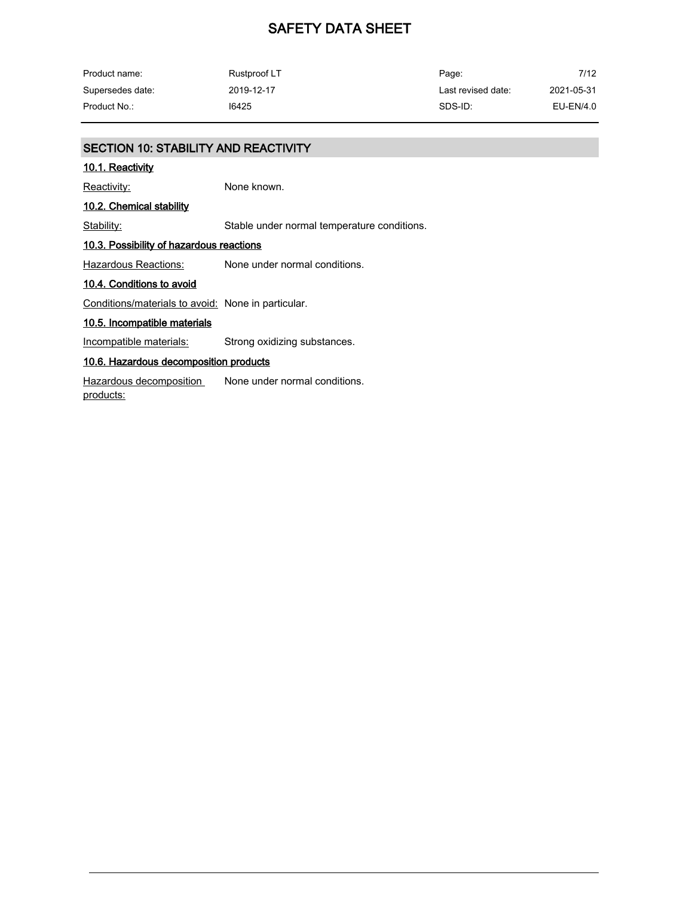| Product name:    | Rustproof LT | Page:              | 7/12       |
|------------------|--------------|--------------------|------------|
| Supersedes date: | 2019-12-17   | Last revised date: | 2021-05-31 |
| Product No.:     | 16425        | SDS-ID:            | EU-EN/4.0  |

## SECTION 10: STABILITY AND REACTIVITY

#### 10.1. Reactivity

Reactivity: None known.

## 10.2. Chemical stability

Stability: Stable under normal temperature conditions.

### 10.3. Possibility of hazardous reactions

Hazardous Reactions: None under normal conditions.

### 10.4. Conditions to avoid

Conditions/materials to avoid: None in particular.

## 10.5. Incompatible materials

Incompatible materials: Strong oxidizing substances.

#### 10.6. Hazardous decomposition products

Hazardous decomposition products: None under normal conditions.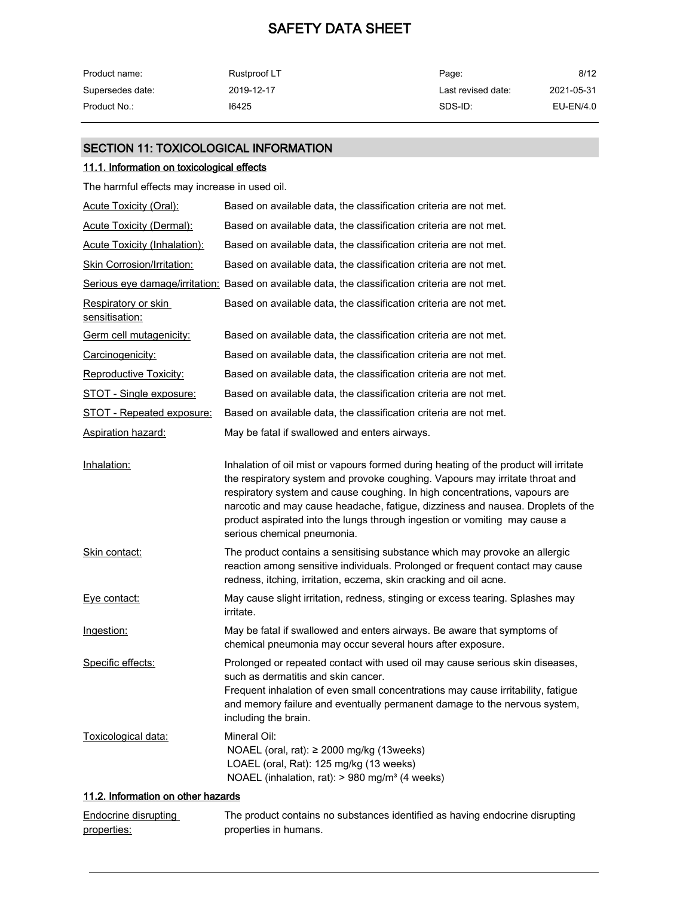| Product name:    | Rustproof LT | Page:              | 8/12       |
|------------------|--------------|--------------------|------------|
| Supersedes date: | 2019-12-17   | Last revised date: | 2021-05-31 |
| Product No.:     | 16425        | SDS-ID:            | EU-EN/4.0  |

## SECTION 11: TOXICOLOGICAL INFORMATION

### 11.1. Information on toxicological effects

The harmful effects may increase in used oil.

| <b>Acute Toxicity (Oral):</b>         | Based on available data, the classification criteria are not met.                                                                                                                                                                                                                                                                                                                                                                                  |
|---------------------------------------|----------------------------------------------------------------------------------------------------------------------------------------------------------------------------------------------------------------------------------------------------------------------------------------------------------------------------------------------------------------------------------------------------------------------------------------------------|
| <b>Acute Toxicity (Dermal):</b>       | Based on available data, the classification criteria are not met.                                                                                                                                                                                                                                                                                                                                                                                  |
| <b>Acute Toxicity (Inhalation):</b>   | Based on available data, the classification criteria are not met.                                                                                                                                                                                                                                                                                                                                                                                  |
| Skin Corrosion/Irritation:            | Based on available data, the classification criteria are not met.                                                                                                                                                                                                                                                                                                                                                                                  |
|                                       | Serious eye damage/irritation: Based on available data, the classification criteria are not met.                                                                                                                                                                                                                                                                                                                                                   |
| Respiratory or skin<br>sensitisation: | Based on available data, the classification criteria are not met.                                                                                                                                                                                                                                                                                                                                                                                  |
| Germ cell mutagenicity:               | Based on available data, the classification criteria are not met.                                                                                                                                                                                                                                                                                                                                                                                  |
| Carcinogenicity:                      | Based on available data, the classification criteria are not met.                                                                                                                                                                                                                                                                                                                                                                                  |
| <b>Reproductive Toxicity:</b>         | Based on available data, the classification criteria are not met.                                                                                                                                                                                                                                                                                                                                                                                  |
| STOT - Single exposure:               | Based on available data, the classification criteria are not met.                                                                                                                                                                                                                                                                                                                                                                                  |
| <b>STOT - Repeated exposure:</b>      | Based on available data, the classification criteria are not met.                                                                                                                                                                                                                                                                                                                                                                                  |
| <b>Aspiration hazard:</b>             | May be fatal if swallowed and enters airways.                                                                                                                                                                                                                                                                                                                                                                                                      |
| Inhalation:                           | Inhalation of oil mist or vapours formed during heating of the product will irritate<br>the respiratory system and provoke coughing. Vapours may irritate throat and<br>respiratory system and cause coughing. In high concentrations, vapours are<br>narcotic and may cause headache, fatigue, dizziness and nausea. Droplets of the<br>product aspirated into the lungs through ingestion or vomiting may cause a<br>serious chemical pneumonia. |
| Skin contact:                         | The product contains a sensitising substance which may provoke an allergic<br>reaction among sensitive individuals. Prolonged or frequent contact may cause<br>redness, itching, irritation, eczema, skin cracking and oil acne.                                                                                                                                                                                                                   |
| Eye contact:                          | May cause slight irritation, redness, stinging or excess tearing. Splashes may<br>irritate.                                                                                                                                                                                                                                                                                                                                                        |
| Ingestion:                            | May be fatal if swallowed and enters airways. Be aware that symptoms of<br>chemical pneumonia may occur several hours after exposure.                                                                                                                                                                                                                                                                                                              |
| Specific effects:                     | Prolonged or repeated contact with used oil may cause serious skin diseases,<br>such as dermatitis and skin cancer.<br>Frequent inhalation of even small concentrations may cause irritability, fatigue<br>and memory failure and eventually permanent damage to the nervous system,<br>including the brain.                                                                                                                                       |
| Toxicological data:                   | Mineral Oil:<br>NOAEL (oral, rat): ≥ 2000 mg/kg (13weeks)<br>LOAEL (oral, Rat): 125 mg/kg (13 weeks)<br>NOAEL (inhalation, rat): > 980 mg/m <sup>3</sup> (4 weeks)                                                                                                                                                                                                                                                                                 |
| 11.2. Information on other hazards    |                                                                                                                                                                                                                                                                                                                                                                                                                                                    |
| Endocrine disrupting<br>properties:   | The product contains no substances identified as having endocrine disrupting<br>properties in humans.                                                                                                                                                                                                                                                                                                                                              |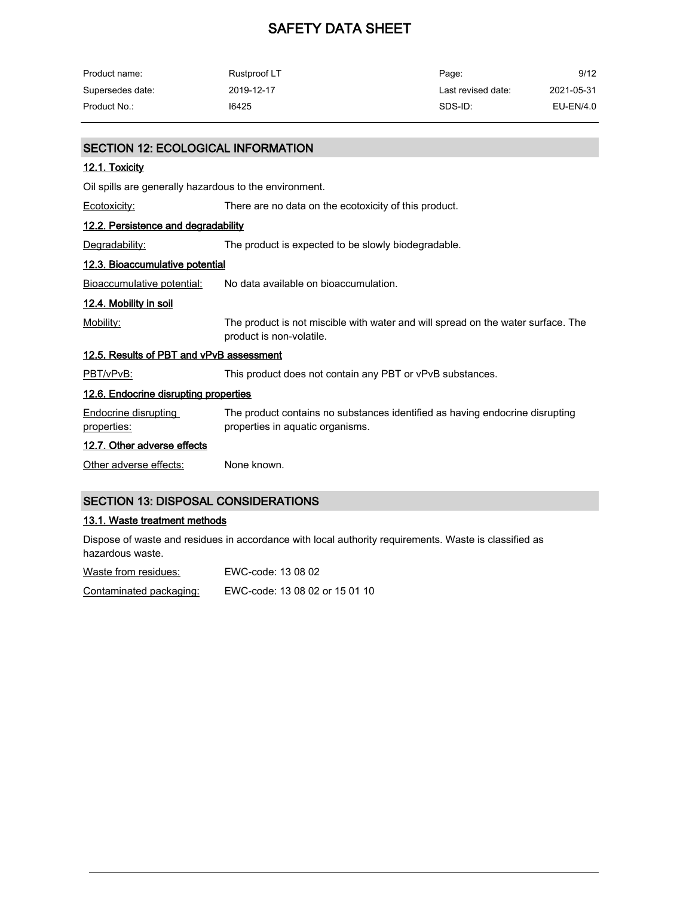| Product name:    | Rustproof LT | Page:              | 9/12       |
|------------------|--------------|--------------------|------------|
| Supersedes date: | 2019-12-17   | Last revised date: | 2021-05-31 |
| Product No.:     | 16425        | SDS-ID:            | EU-EN/4.0  |

| <b>SECTION 12: ECOLOGICAL INFORMATION</b>              |                                                                                                                  |
|--------------------------------------------------------|------------------------------------------------------------------------------------------------------------------|
| 12.1. Toxicity                                         |                                                                                                                  |
| Oil spills are generally hazardous to the environment. |                                                                                                                  |
| Ecotoxicity:                                           | There are no data on the ecotoxicity of this product.                                                            |
| 12.2. Persistence and degradability                    |                                                                                                                  |
| Degradability:                                         | The product is expected to be slowly biodegradable.                                                              |
| 12.3. Bioaccumulative potential                        |                                                                                                                  |
| Bioaccumulative potential:                             | No data available on bioaccumulation.                                                                            |
| 12.4. Mobility in soil                                 |                                                                                                                  |
| Mobility:                                              | The product is not miscible with water and will spread on the water surface. The<br>product is non-volatile.     |
| 12.5. Results of PBT and vPvB assessment               |                                                                                                                  |
| PBT/vPvB:                                              | This product does not contain any PBT or vPvB substances.                                                        |
| 12.6. Endocrine disrupting properties                  |                                                                                                                  |
| Endocrine disrupting<br>properties:                    | The product contains no substances identified as having endocrine disrupting<br>properties in aquatic organisms. |
| 12.7. Other adverse effects                            |                                                                                                                  |
| Other adverse effects:                                 | None known.                                                                                                      |

## SECTION 13: DISPOSAL CONSIDERATIONS

## 13.1. Waste treatment methods

Dispose of waste and residues in accordance with local authority requirements. Waste is classified as hazardous waste.

| Waste from residues:    | EWC-code: 13 08 02             |
|-------------------------|--------------------------------|
| Contaminated packaging: | EWC-code: 13 08 02 or 15 01 10 |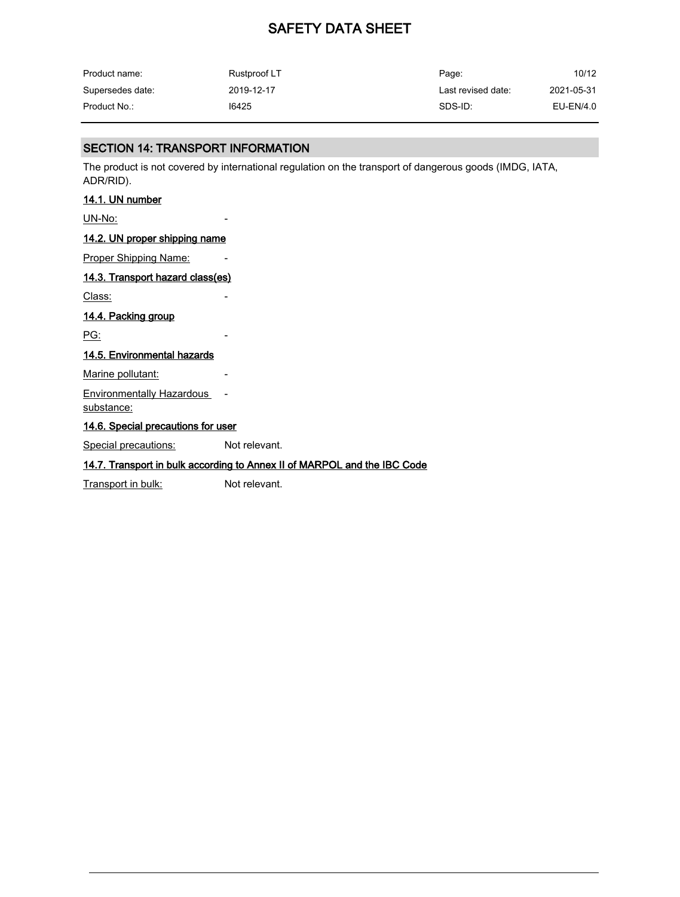| Product name:    | Rustproof LT | Page:              | 10/12      |
|------------------|--------------|--------------------|------------|
| Supersedes date: | 2019-12-17   | Last revised date: | 2021-05-31 |
| Product No.:     | 16425        | SDS-ID:            | EU-EN/4.0  |

## SECTION 14: TRANSPORT INFORMATION

The product is not covered by international regulation on the transport of dangerous goods (IMDG, IATA, ADR/RID).

#### 14.1. UN number

UN-No:

#### 14.2. UN proper shipping name

Proper Shipping Name:

## 14.3. Transport hazard class(es)

Class:

### 14.4. Packing group

<u>PG:</u>

### 14.5. Environmental hazards

Marine pollutant:

Environmentally Hazardous substance:

14.6. Special precautions for user

Special precautions: Not relevant.

#### 14.7. Transport in bulk according to Annex II of MARPOL and the IBC Code

Transport in bulk: Not relevant.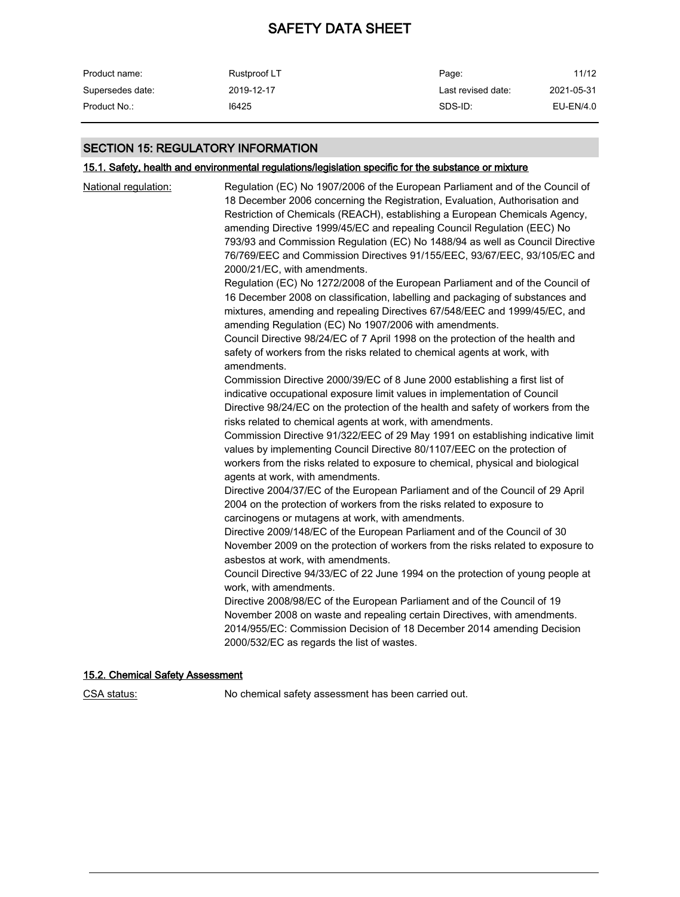| Product name:    | Rustproof LT | Page:              | 11/12      |
|------------------|--------------|--------------------|------------|
| Supersedes date: | 2019-12-17   | Last revised date: | 2021-05-31 |
| Product No.:     | 16425        | SDS-ID:            | EU-EN/4.0  |

## SECTION 15: REGULATORY INFORMATION

## 15.1. Safety, health and environmental regulations/legislation specific for the substance or mixture

| National regulation: | Regulation (EC) No 1907/2006 of the European Parliament and of the Council of<br>18 December 2006 concerning the Registration, Evaluation, Authorisation and<br>Restriction of Chemicals (REACH), establishing a European Chemicals Agency,<br>amending Directive 1999/45/EC and repealing Council Regulation (EEC) No<br>793/93 and Commission Regulation (EC) No 1488/94 as well as Council Directive<br>76/769/EEC and Commission Directives 91/155/EEC, 93/67/EEC, 93/105/EC and<br>2000/21/EC, with amendments.<br>Regulation (EC) No 1272/2008 of the European Parliament and of the Council of<br>16 December 2008 on classification, labelling and packaging of substances and<br>mixtures, amending and repealing Directives 67/548/EEC and 1999/45/EC, and<br>amending Regulation (EC) No 1907/2006 with amendments.<br>Council Directive 98/24/EC of 7 April 1998 on the protection of the health and<br>safety of workers from the risks related to chemical agents at work, with<br>amendments.<br>Commission Directive 2000/39/EC of 8 June 2000 establishing a first list of<br>indicative occupational exposure limit values in implementation of Council<br>Directive 98/24/EC on the protection of the health and safety of workers from the<br>risks related to chemical agents at work, with amendments.<br>Commission Directive 91/322/EEC of 29 May 1991 on establishing indicative limit<br>values by implementing Council Directive 80/1107/EEC on the protection of<br>workers from the risks related to exposure to chemical, physical and biological<br>agents at work, with amendments.<br>Directive 2004/37/EC of the European Parliament and of the Council of 29 April<br>2004 on the protection of workers from the risks related to exposure to<br>carcinogens or mutagens at work, with amendments.<br>Directive 2009/148/EC of the European Parliament and of the Council of 30<br>November 2009 on the protection of workers from the risks related to exposure to<br>asbestos at work, with amendments.<br>Council Directive 94/33/EC of 22 June 1994 on the protection of young people at<br>work, with amendments.<br>Directive 2008/98/EC of the European Parliament and of the Council of 19<br>November 2008 on waste and repealing certain Directives, with amendments.<br>2014/955/EC: Commission Decision of 18 December 2014 amending Decision |
|----------------------|----------------------------------------------------------------------------------------------------------------------------------------------------------------------------------------------------------------------------------------------------------------------------------------------------------------------------------------------------------------------------------------------------------------------------------------------------------------------------------------------------------------------------------------------------------------------------------------------------------------------------------------------------------------------------------------------------------------------------------------------------------------------------------------------------------------------------------------------------------------------------------------------------------------------------------------------------------------------------------------------------------------------------------------------------------------------------------------------------------------------------------------------------------------------------------------------------------------------------------------------------------------------------------------------------------------------------------------------------------------------------------------------------------------------------------------------------------------------------------------------------------------------------------------------------------------------------------------------------------------------------------------------------------------------------------------------------------------------------------------------------------------------------------------------------------------------------------------------------------------------------------------------------------------------------------------------------------------------------------------------------------------------------------------------------------------------------------------------------------------------------------------------------------------------------------------------------------------------------------------------------------------------------------------------------------------------------------------------------------------------------------------------|
|                      | 2000/532/EC as regards the list of wastes.                                                                                                                                                                                                                                                                                                                                                                                                                                                                                                                                                                                                                                                                                                                                                                                                                                                                                                                                                                                                                                                                                                                                                                                                                                                                                                                                                                                                                                                                                                                                                                                                                                                                                                                                                                                                                                                                                                                                                                                                                                                                                                                                                                                                                                                                                                                                                   |
|                      |                                                                                                                                                                                                                                                                                                                                                                                                                                                                                                                                                                                                                                                                                                                                                                                                                                                                                                                                                                                                                                                                                                                                                                                                                                                                                                                                                                                                                                                                                                                                                                                                                                                                                                                                                                                                                                                                                                                                                                                                                                                                                                                                                                                                                                                                                                                                                                                              |

## 15.2. Chemical Safety Assessment

CSA status: No chemical safety assessment has been carried out.